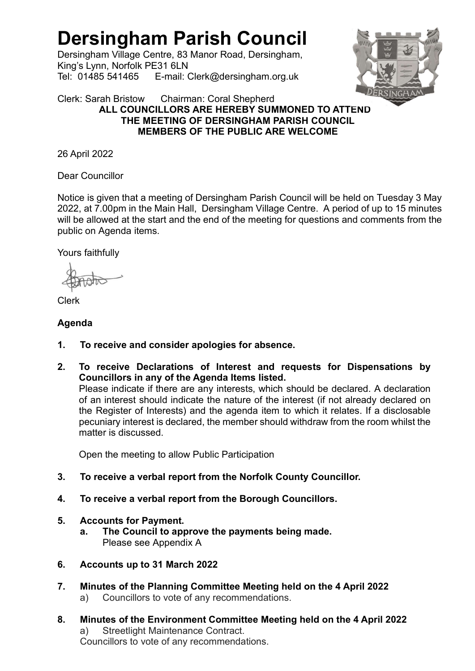# Dersingham Parish Council

Dersingham Village Centre, 83 Manor Road, Dersingham, King's Lynn, Norfolk PE31 6LN Tel: 01485 541465 E-mail: Clerk@dersingham.org.uk



#### Clerk: Sarah Bristow Chairman: Coral Shepherd ALL COUNCILLORS ARE HEREBY SUMMONED TO ATTEND THE MEETING OF DERSINGHAM PARISH COUNCIL MEMBERS OF THE PUBLIC ARE WELCOME

26 April 2022

Dear Councillor

Notice is given that a meeting of Dersingham Parish Council will be held on Tuesday 3 May 2022, at 7.00pm in the Main Hall, Dersingham Village Centre. A period of up to 15 minutes will be allowed at the start and the end of the meeting for questions and comments from the public on Agenda items.

Yours faithfully

Clerk

## Agenda

- 1. To receive and consider apologies for absence.
- 2. To receive Declarations of Interest and requests for Dispensations by Councillors in any of the Agenda Items listed. Please indicate if there are any interests, which should be declared. A declaration

of an interest should indicate the nature of the interest (if not already declared on the Register of Interests) and the agenda item to which it relates. If a disclosable pecuniary interest is declared, the member should withdraw from the room whilst the matter is discussed.

Open the meeting to allow Public Participation

- 3. To receive a verbal report from the Norfolk County Councillor.
- 4. To receive a verbal report from the Borough Councillors.

## 5. Accounts for Payment.

- a. The Council to approve the payments being made. Please see Appendix A
- 6. Accounts up to 31 March 2022
- 7. Minutes of the Planning Committee Meeting held on the 4 April 2022
	- a) Councillors to vote of any recommendations.
- 8. Minutes of the Environment Committee Meeting held on the 4 April 2022 a) Streetlight Maintenance Contract. Councillors to vote of any recommendations.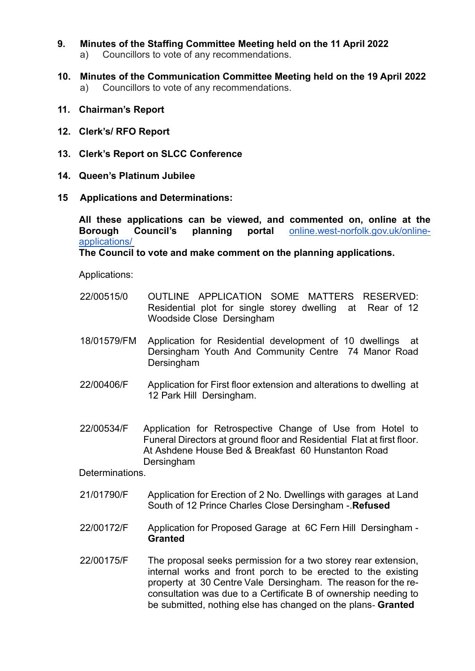- 9. Minutes of the Staffing Committee Meeting held on the 11 April 2022 a) Councillors to vote of any recommendations.
- 10. Minutes of the Communication Committee Meeting held on the 19 April 2022 a) Councillors to vote of any recommendations.
- 11. Chairman's Report
- 12. Clerk's/ RFO Report
- 13. Clerk's Report on SLCC Conference
- 14. Queen's Platinum Jubilee
- 15 Applications and Determinations:

 All these applications can be viewed, and commented on, online at the Borough Council's planning portal online.west-norfolk.gov.uk/onlineapplications/

The Council to vote and make comment on the planning applications.

Applications:

- 22/00515/0 OUTLINE APPLICATION SOME MATTERS RESERVED: Residential plot for single storey dwelling at Rear of 12 Woodside Close Dersingham
- 18/01579/FM Application for Residential development of 10 dwellings at Dersingham Youth And Community Centre 74 Manor Road **Dersingham**
- 22/00406/F Application for First floor extension and alterations to dwelling at 12 Park Hill Dersingham.
- 22/00534/F Application for Retrospective Change of Use from Hotel to Funeral Directors at ground floor and Residential Flat at first floor. At Ashdene House Bed & Breakfast 60 Hunstanton Road Dersingham

Determinations.

- 21/01790/F Application for Erection of 2 No. Dwellings with garages at Land South of 12 Prince Charles Close Dersingham -.Refused
- 22/00172/F Application for Proposed Garage at 6C Fern Hill Dersingham **Granted**
- 22/00175/F The proposal seeks permission for a two storey rear extension, internal works and front porch to be erected to the existing property at 30 Centre Vale Dersingham. The reason for the reconsultation was due to a Certificate B of ownership needing to be submitted, nothing else has changed on the plans- **Granted**